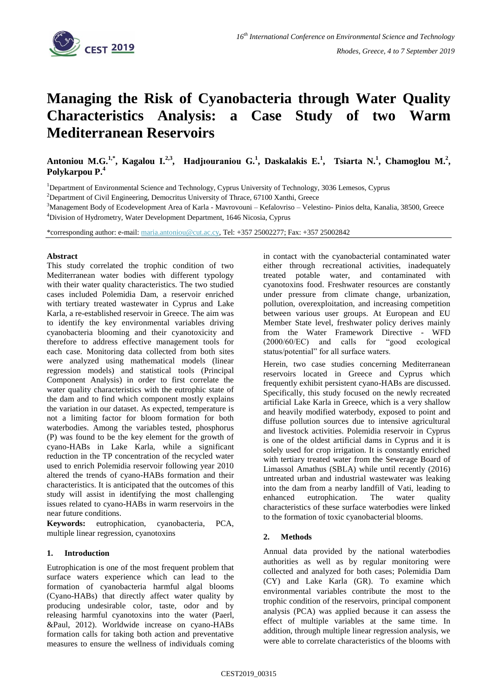

# **Managing the Risk of Cyanobacteria through Water Quality Characteristics Analysis: a Case Study of two Warm Mediterranean Reservoirs**

Antoniou M.G.<sup>1,\*</sup>, Kagalou I.<sup>2,3</sup>, Hadjıouraniou G.<sup>1</sup>, Daskalakis E.<sup>1</sup>, Tsiarta N.<sup>1</sup>, Chamoglou M.<sup>2</sup>, **Polykarpou P.<sup>4</sup>**

<sup>1</sup>Department of Environmental Science and Technology, Cyprus University of Technology, 3036 Lemesos, Cyprus

<sup>2</sup>Department of Civil Engineering, Democritus University of Thrace, 67100 Xanthi, Greece

<sup>3</sup>Management Body of Ecodevelopment Area of Karla - Mavrovouni – Kefalovriso – Velestino- Pinios delta, Kanalia, 38500, Greece <sup>4</sup>Division of Hydrometry, Water Development Department, 1646 Nicosia, Cyprus

\*corresponding author: e-mail: [maria.antoniou@cut.ac.cy,](mailto:maria.antoniou@cut.ac.cy) Tel: +357 25002277; Fax: +357 25002842

# **Abstract**

This study correlated the trophic condition of two Mediterranean water bodies with different typology with their water quality characteristics. The two studied cases included Polemidia Dam, a reservoir enriched with tertiary treated wastewater in Cyprus and Lake Karla, a re-established reservoir in Greece. The aim was to identify the key environmental variables driving cyanobacteria blooming and their cyanotoxicity and therefore to address effective management tools for each case. Monitoring data collected from both sites were analyzed using mathematical models (linear regression models) and statistical tools (Principal Component Analysis) in order to first correlate the water quality characteristics with the eutrophic state of the dam and to find which component mostly explains the variation in our dataset. As expected, temperature is not a limiting factor for bloom formation for both waterbodies. Among the variables tested, phosphorus (P) was found to be the key element for the growth of cyano-HABs in Lake Karla, while a significant reduction in the TP concentration of the recycled water used to enrich Polemidia reservoir following year 2010 altered the trends of cyano-HABs formation and their characteristics. It is anticipated that the outcomes of this study will assist in identifying the most challenging issues related to cyano-HABs in warm reservoirs in the near future conditions.

**Keywords:** eutrophication, cyanobacteria, PCA, multiple linear regression, cyanotoxins

# **1. Introduction**

Eutrophication is one of the most frequent problem that surface waters experience which can lead to the formation of cyanobacteria harmful algal blooms (Cyano-HABs) that directly affect water quality by producing undesirable color, taste, odor and by releasing harmful cyanotoxins into the water (Paerl, &Paul, 2012). Worldwide increase on cyano-HABs formation calls for taking both action and preventative measures to ensure the wellness of individuals coming

in contact with the cyanobacterial contaminated water either through recreational activities, inadequately treated potable water, and contaminated with cyanotoxins food. Freshwater resources are constantly under pressure from climate change, urbanization, pollution, overexploitation, and increasing competition between various user groups. At European and EU Member State level, freshwater policy derives mainly from the Water Framework Directive - WFD (2000/60/EC) and calls for "good ecological status/potential" for all surface waters.

Herein, two case studies concerning Mediterranean reservoirs located in Greece and Cyprus which frequently exhibit persistent cyano-HABs are discussed. Specifically, this study focused on the newly recreated artificial Lake Karla in Greece, which is a very shallow and heavily modified waterbody, exposed to point and diffuse pollution sources due to intensive agricultural and livestock activities. Polemidia reservoir in Cyprus is one of the oldest artificial dams in Cyprus and it is solely used for crop irrigation. It is constantly enriched with tertiary treated water from the Sewerage Board of Limassol Amathus (SBLA) while until recently (2016) untreated urban and industrial wastewater was leaking into the dam from a nearby landfill of Vati, leading to enhanced eutrophication. The water quality characteristics of these surface waterbodies were linked to the formation of toxic cyanobacterial blooms.

# **2. Methods**

Annual data provided by the national waterbodies authorities as well as by regular monitoring were collected and analyzed for both cases; Polemidia Dam (CY) and Lake Karla (GR). To examine which environmental variables contribute the most to the trophic condition of the reservoirs, principal component analysis (PCA) was applied because it can assess the effect of multiple variables at the same time. In addition, through multiple linear regression analysis, we were able to correlate characteristics of the blooms with